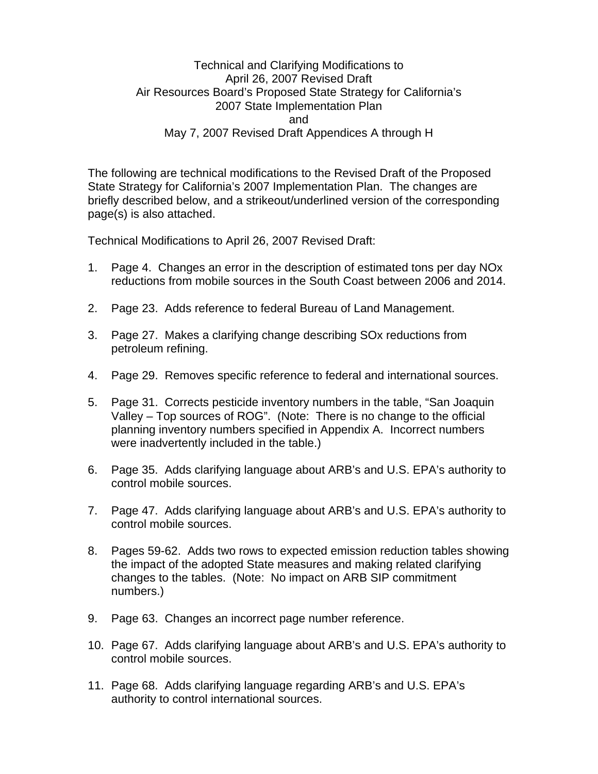Technical and Clarifying Modifications to April 26, 2007 Revised Draft Air Resources Board's Proposed State Strategy for California's 2007 State Implementation Plan and May 7, 2007 Revised Draft Appendices A through H

The following are technical modifications to the Revised Draft of the Proposed State Strategy for California's 2007 Implementation Plan. The changes are briefly described below, and a strikeout/underlined version of the corresponding page(s) is also attached.

Technical Modifications to April 26, 2007 Revised Draft:

- 1. Page 4. Changes an error in the description of estimated tons per day NOx reductions from mobile sources in the South Coast between 2006 and 2014.
- 2. Page 23. Adds reference to federal Bureau of Land Management.
- 3. Page 27. Makes a clarifying change describing SOx reductions from petroleum refining.
- 4. Page 29. Removes specific reference to federal and international sources.
- 5. Page 31. Corrects pesticide inventory numbers in the table, "San Joaquin Valley – Top sources of ROG". (Note: There is no change to the official planning inventory numbers specified in Appendix A. Incorrect numbers were inadvertently included in the table.)
- 6. Page 35. Adds clarifying language about ARB's and U.S. EPA's authority to control mobile sources.
- 7. Page 47. Adds clarifying language about ARB's and U.S. EPA's authority to control mobile sources.
- 8. Pages 59-62. Adds two rows to expected emission reduction tables showing the impact of the adopted State measures and making related clarifying changes to the tables. (Note: No impact on ARB SIP commitment numbers.)
- 9. Page 63. Changes an incorrect page number reference.
- 10. Page 67. Adds clarifying language about ARB's and U.S. EPA's authority to control mobile sources.
- 11. Page 68. Adds clarifying language regarding ARB's and U.S. EPA's authority to control international sources.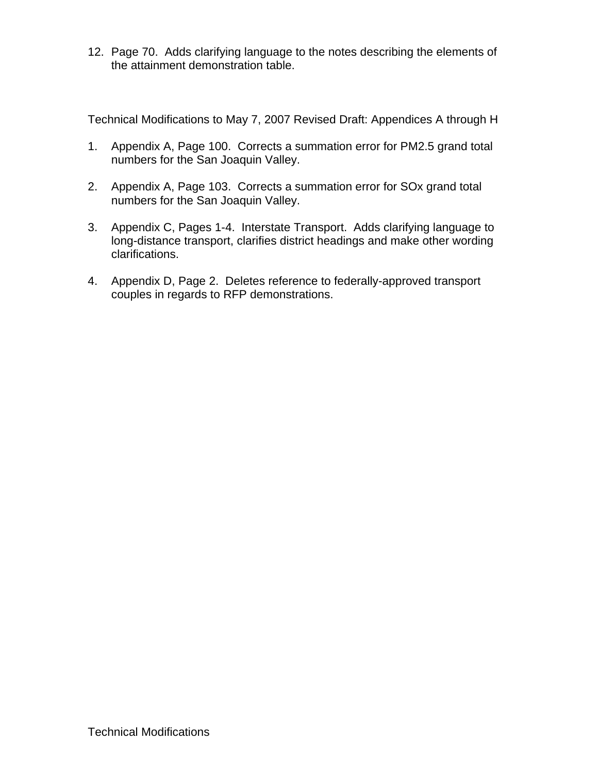12. Page 70. Adds clarifying language to the notes describing the elements of the attainment demonstration table.

Technical Modifications to May 7, 2007 Revised Draft: Appendices A through H

- 1. Appendix A, Page 100. Corrects a summation error for PM2.5 grand total numbers for the San Joaquin Valley.
- 2. Appendix A, Page 103. Corrects a summation error for SOx grand total numbers for the San Joaquin Valley.
- 3. Appendix C, Pages 1-4. Interstate Transport. Adds clarifying language to long-distance transport, clarifies district headings and make other wording clarifications.
- 4. Appendix D, Page 2. Deletes reference to federally-approved transport couples in regards to RFP demonstrations.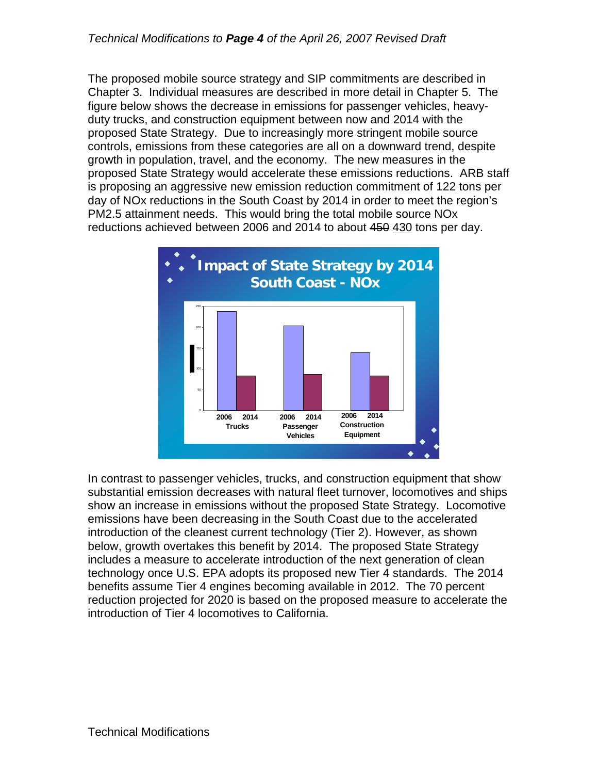## *Technical Modifications to Page 4 of the April 26, 2007 Revised Draft*

The proposed mobile source strategy and SIP commitments are described in Chapter 3. Individual measures are described in more detail in Chapter 5. The figure below shows the decrease in emissions for passenger vehicles, heavyduty trucks, and construction equipment between now and 2014 with the proposed State Strategy. Due to increasingly more stringent mobile source controls, emissions from these categories are all on a downward trend, despite growth in population, travel, and the economy. The new measures in the proposed State Strategy would accelerate these emissions reductions. ARB staff is proposing an aggressive new emission reduction commitment of 122 tons per day of NOx reductions in the South Coast by 2014 in order to meet the region's PM2.5 attainment needs. This would bring the total mobile source NOx reductions achieved between 2006 and 2014 to about 450 430 tons per day.



In contrast to passenger vehicles, trucks, and construction equipment that show substantial emission decreases with natural fleet turnover, locomotives and ships show an increase in emissions without the proposed State Strategy. Locomotive emissions have been decreasing in the South Coast due to the accelerated introduction of the cleanest current technology (Tier 2). However, as shown below, growth overtakes this benefit by 2014. The proposed State Strategy includes a measure to accelerate introduction of the next generation of clean technology once U.S. EPA adopts its proposed new Tier 4 standards. The 2014 benefits assume Tier 4 engines becoming available in 2012. The 70 percent reduction projected for 2020 is based on the proposed measure to accelerate the introduction of Tier 4 locomotives to California.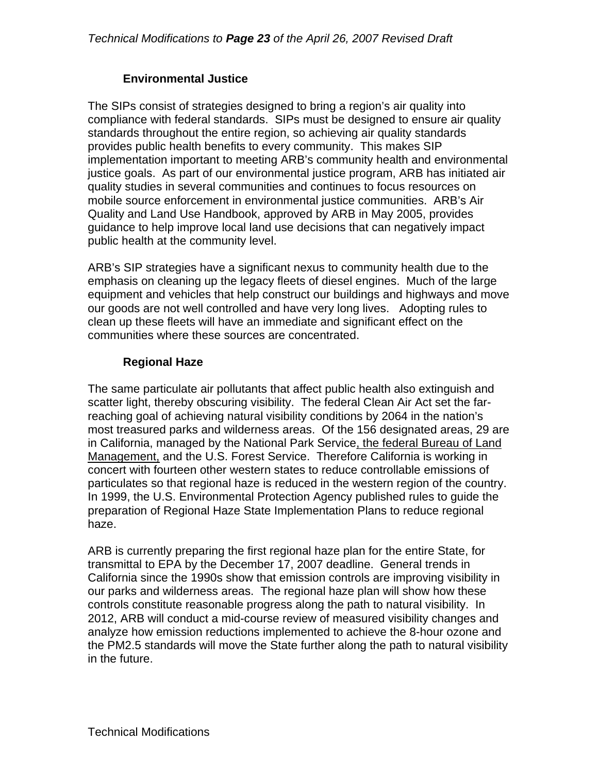## **Environmental Justice**

The SIPs consist of strategies designed to bring a region's air quality into compliance with federal standards. SIPs must be designed to ensure air quality standards throughout the entire region, so achieving air quality standards provides public health benefits to every community. This makes SIP implementation important to meeting ARB's community health and environmental justice goals. As part of our environmental justice program, ARB has initiated air quality studies in several communities and continues to focus resources on mobile source enforcement in environmental justice communities. ARB's Air Quality and Land Use Handbook, approved by ARB in May 2005, provides guidance to help improve local land use decisions that can negatively impact public health at the community level.

ARB's SIP strategies have a significant nexus to community health due to the emphasis on cleaning up the legacy fleets of diesel engines. Much of the large equipment and vehicles that help construct our buildings and highways and move our goods are not well controlled and have very long lives. Adopting rules to clean up these fleets will have an immediate and significant effect on the communities where these sources are concentrated.

## **Regional Haze**

The same particulate air pollutants that affect public health also extinguish and scatter light, thereby obscuring visibility. The federal Clean Air Act set the farreaching goal of achieving natural visibility conditions by 2064 in the nation's most treasured parks and wilderness areas. Of the 156 designated areas, 29 are in California, managed by the National Park Service, the federal Bureau of Land Management, and the U.S. Forest Service. Therefore California is working in concert with fourteen other western states to reduce controllable emissions of particulates so that regional haze is reduced in the western region of the country. In 1999, the U.S. Environmental Protection Agency published rules to guide the preparation of Regional Haze State Implementation Plans to reduce regional haze.

ARB is currently preparing the first regional haze plan for the entire State, for transmittal to EPA by the December 17, 2007 deadline. General trends in California since the 1990s show that emission controls are improving visibility in our parks and wilderness areas. The regional haze plan will show how these controls constitute reasonable progress along the path to natural visibility. In 2012, ARB will conduct a mid-course review of measured visibility changes and analyze how emission reductions implemented to achieve the 8-hour ozone and the PM2.5 standards will move the State further along the path to natural visibility in the future.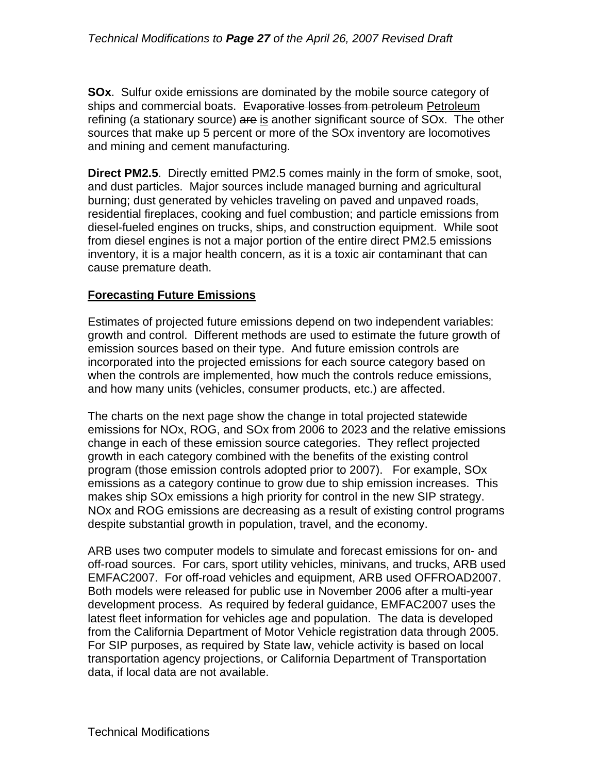**SOx**. Sulfur oxide emissions are dominated by the mobile source category of ships and commercial boats. Evaporative losses from petroleum Petroleum refining (a stationary source) are is another significant source of SOx. The other sources that make up 5 percent or more of the SOx inventory are locomotives and mining and cement manufacturing.

**Direct PM2.5**. Directly emitted PM2.5 comes mainly in the form of smoke, soot, and dust particles. Major sources include managed burning and agricultural burning; dust generated by vehicles traveling on paved and unpaved roads, residential fireplaces, cooking and fuel combustion; and particle emissions from diesel-fueled engines on trucks, ships, and construction equipment. While soot from diesel engines is not a major portion of the entire direct PM2.5 emissions inventory, it is a major health concern, as it is a toxic air contaminant that can cause premature death.

#### **Forecasting Future Emissions**

Estimates of projected future emissions depend on two independent variables: growth and control. Different methods are used to estimate the future growth of emission sources based on their type. And future emission controls are incorporated into the projected emissions for each source category based on when the controls are implemented, how much the controls reduce emissions, and how many units (vehicles, consumer products, etc.) are affected.

The charts on the next page show the change in total projected statewide emissions for NOx, ROG, and SOx from 2006 to 2023 and the relative emissions change in each of these emission source categories. They reflect projected growth in each category combined with the benefits of the existing control program (those emission controls adopted prior to 2007). For example, SOx emissions as a category continue to grow due to ship emission increases. This makes ship SOx emissions a high priority for control in the new SIP strategy. NOx and ROG emissions are decreasing as a result of existing control programs despite substantial growth in population, travel, and the economy.

ARB uses two computer models to simulate and forecast emissions for on- and off-road sources. For cars, sport utility vehicles, minivans, and trucks, ARB used EMFAC2007. For off-road vehicles and equipment, ARB used OFFROAD2007. Both models were released for public use in November 2006 after a multi-year development process. As required by federal guidance, EMFAC2007 uses the latest fleet information for vehicles age and population. The data is developed from the California Department of Motor Vehicle registration data through 2005. For SIP purposes, as required by State law, vehicle activity is based on local transportation agency projections, or California Department of Transportation data, if local data are not available.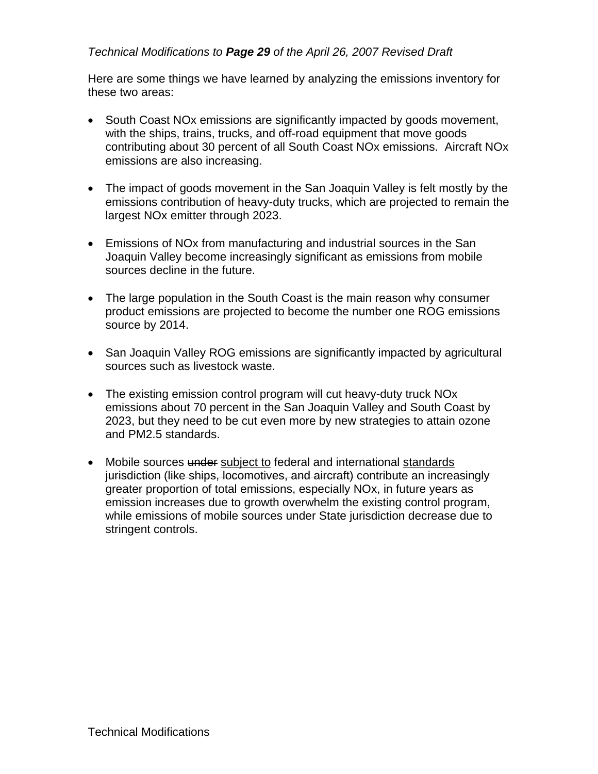## *Technical Modifications to Page 29 of the April 26, 2007 Revised Draft*

Here are some things we have learned by analyzing the emissions inventory for these two areas:

- South Coast NOx emissions are significantly impacted by goods movement, with the ships, trains, trucks, and off-road equipment that move goods contributing about 30 percent of all South Coast NOx emissions. Aircraft NOx emissions are also increasing.
- The impact of goods movement in the San Joaquin Valley is felt mostly by the emissions contribution of heavy-duty trucks, which are projected to remain the largest NOx emitter through 2023.
- Emissions of NOx from manufacturing and industrial sources in the San Joaquin Valley become increasingly significant as emissions from mobile sources decline in the future.
- The large population in the South Coast is the main reason why consumer product emissions are projected to become the number one ROG emissions source by 2014.
- San Joaquin Valley ROG emissions are significantly impacted by agricultural sources such as livestock waste.
- The existing emission control program will cut heavy-duty truck NO<sub>x</sub> emissions about 70 percent in the San Joaquin Valley and South Coast by 2023, but they need to be cut even more by new strategies to attain ozone and PM2.5 standards.
- Mobile sources under subject to federal and international standards jurisdiction (like ships, locomotives, and aircraft) contribute an increasingly greater proportion of total emissions, especially NOx, in future years as emission increases due to growth overwhelm the existing control program, while emissions of mobile sources under State jurisdiction decrease due to stringent controls.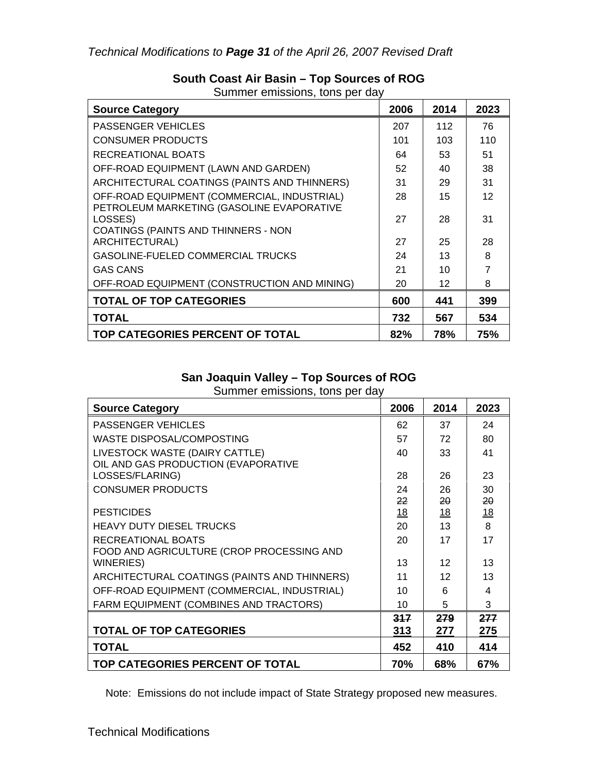| <b>Source Category</b>                                                                   | 2006 | 2014 | 2023 |
|------------------------------------------------------------------------------------------|------|------|------|
| <b>PASSENGER VEHICLES</b>                                                                | 207  | 112  | 76   |
| <b>CONSUMER PRODUCTS</b>                                                                 | 101  | 103  | 110  |
| RECREATIONAL BOATS                                                                       | 64   | 53   | 51   |
| OFF-ROAD EQUIPMENT (LAWN AND GARDEN)                                                     | 52   | 40   | 38   |
| ARCHITECTURAL COATINGS (PAINTS AND THINNERS)                                             | 31   | 29   | 31   |
| OFF-ROAD EQUIPMENT (COMMERCIAL, INDUSTRIAL)<br>PETROLEUM MARKETING (GASOLINE EVAPORATIVE | 28   | 15   | 12   |
| LOSSES)<br>COATINGS (PAINTS AND THINNERS - NON                                           | 27   | 28   | 31   |
| ARCHITECTURAL)                                                                           | 27   | 25   | 28   |
| GASOLINE-FUELED COMMERCIAL TRUCKS                                                        | 24   | 13   | 8    |
| <b>GAS CANS</b>                                                                          | 21   | 10   |      |
| OFF-ROAD EQUIPMENT (CONSTRUCTION AND MINING)                                             | 20   | 12   | 8    |
| <b>TOTAL OF TOP CATEGORIES</b>                                                           | 600  | 441  | 399  |
| <b>TOTAL</b>                                                                             | 732  | 567  | 534  |
| TOP CATEGORIES PERCENT OF TOTAL                                                          | 82%  | 78%  | 75%  |

# **South Coast Air Basin – Top Sources of ROG**

Summer emissions, tons per day

## **San Joaquin Valley – Top Sources of ROG**

| odininci chilissionis, tons por day<br><b>Source Category</b>         | 2006      | 2014      | 2023 |
|-----------------------------------------------------------------------|-----------|-----------|------|
| <b>PASSENGER VEHICLES</b>                                             | 62        | 37        | 24   |
| WASTE DISPOSAL/COMPOSTING                                             | 57        | 72        | 80   |
| LIVESTOCK WASTE (DAIRY CATTLE)<br>OIL AND GAS PRODUCTION (EVAPORATIVE | 40        | 33        | 41   |
| LOSSES/FLARING)                                                       | 28        | 26        | 23   |
| <b>CONSUMER PRODUCTS</b>                                              | 24        | 26        | 30   |
|                                                                       | 22        | 20        | 20   |
| <b>PESTICIDES</b>                                                     | <u>18</u> | <u>18</u> | 18   |
| <b>HEAVY DUTY DIESEL TRUCKS</b>                                       | 20        | 13        | 8    |
| RECREATIONAL BOATS<br>FOOD AND AGRICULTURE (CROP PROCESSING AND       | 20        | 17        | 17   |
| <b>WINERIES</b> )                                                     | 13        | 12        | 13   |
| ARCHITECTURAL COATINGS (PAINTS AND THINNERS)                          | 11        | 12        | 13   |
| OFF-ROAD EQUIPMENT (COMMERCIAL, INDUSTRIAL)                           | 10        | 6         | 4    |
| FARM EQUIPMENT (COMBINES AND TRACTORS)                                | 10        | 5         | 3    |
|                                                                       | 317       | 279       | 277  |
| <b>TOTAL OF TOP CATEGORIES</b>                                        | 313       | 277       | 275  |
| <b>TOTAL</b>                                                          | 452       | 410       | 414  |
| TOP CATEGORIES PERCENT OF TOTAL                                       | 70%       | 68%       | 67%  |

Summer emissions, tons per day

Note: Emissions do not include impact of State Strategy proposed new measures.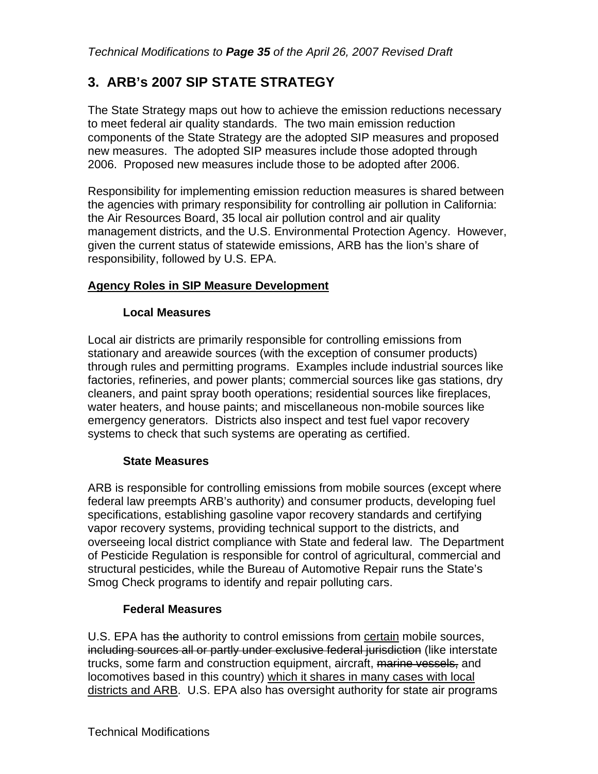# **3. ARB's 2007 SIP STATE STRATEGY**

The State Strategy maps out how to achieve the emission reductions necessary to meet federal air quality standards. The two main emission reduction components of the State Strategy are the adopted SIP measures and proposed new measures. The adopted SIP measures include those adopted through 2006. Proposed new measures include those to be adopted after 2006.

Responsibility for implementing emission reduction measures is shared between the agencies with primary responsibility for controlling air pollution in California: the Air Resources Board, 35 local air pollution control and air quality management districts, and the U.S. Environmental Protection Agency. However, given the current status of statewide emissions, ARB has the lion's share of responsibility, followed by U.S. EPA.

## **Agency Roles in SIP Measure Development**

## **Local Measures**

Local air districts are primarily responsible for controlling emissions from stationary and areawide sources (with the exception of consumer products) through rules and permitting programs. Examples include industrial sources like factories, refineries, and power plants; commercial sources like gas stations, dry cleaners, and paint spray booth operations; residential sources like fireplaces, water heaters, and house paints; and miscellaneous non-mobile sources like emergency generators. Districts also inspect and test fuel vapor recovery systems to check that such systems are operating as certified.

## **State Measures**

ARB is responsible for controlling emissions from mobile sources (except where federal law preempts ARB's authority) and consumer products, developing fuel specifications, establishing gasoline vapor recovery standards and certifying vapor recovery systems, providing technical support to the districts, and overseeing local district compliance with State and federal law. The Department of Pesticide Regulation is responsible for control of agricultural, commercial and structural pesticides, while the Bureau of Automotive Repair runs the State's Smog Check programs to identify and repair polluting cars.

## **Federal Measures**

U.S. EPA has the authority to control emissions from certain mobile sources, including sources all or partly under exclusive federal jurisdiction (like interstate trucks, some farm and construction equipment, aircraft, marine vessels, and locomotives based in this country) which it shares in many cases with local districts and ARB. U.S. EPA also has oversight authority for state air programs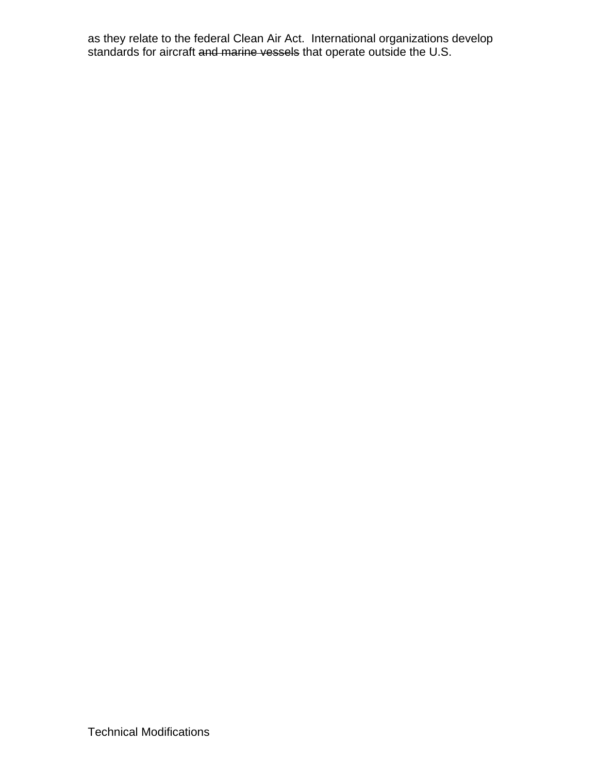as they relate to the federal Clean Air Act. International organizations develop standards for aircraft and marine vessels that operate outside the U.S.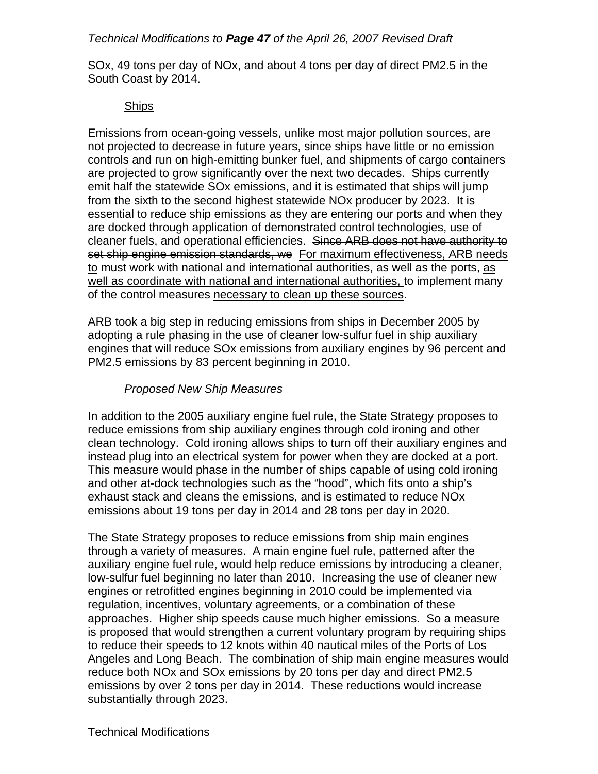#### *Technical Modifications to Page 47 of the April 26, 2007 Revised Draft*

SOx, 49 tons per day of NOx, and about 4 tons per day of direct PM2.5 in the South Coast by 2014.

#### Ships

Emissions from ocean-going vessels, unlike most major pollution sources, are not projected to decrease in future years, since ships have little or no emission controls and run on high-emitting bunker fuel, and shipments of cargo containers are projected to grow significantly over the next two decades. Ships currently emit half the statewide SOx emissions, and it is estimated that ships will jump from the sixth to the second highest statewide NOx producer by 2023. It is essential to reduce ship emissions as they are entering our ports and when they are docked through application of demonstrated control technologies, use of cleaner fuels, and operational efficiencies. Since ARB does not have authority to set ship engine emission standards, we For maximum effectiveness, ARB needs to must work with national and international authorities, as well as the ports, as well as coordinate with national and international authorities, to implement many of the control measures necessary to clean up these sources.

ARB took a big step in reducing emissions from ships in December 2005 by adopting a rule phasing in the use of cleaner low-sulfur fuel in ship auxiliary engines that will reduce SOx emissions from auxiliary engines by 96 percent and PM2.5 emissions by 83 percent beginning in 2010.

#### *Proposed New Ship Measures*

In addition to the 2005 auxiliary engine fuel rule, the State Strategy proposes to reduce emissions from ship auxiliary engines through cold ironing and other clean technology. Cold ironing allows ships to turn off their auxiliary engines and instead plug into an electrical system for power when they are docked at a port. This measure would phase in the number of ships capable of using cold ironing and other at-dock technologies such as the "hood", which fits onto a ship's exhaust stack and cleans the emissions, and is estimated to reduce NOx emissions about 19 tons per day in 2014 and 28 tons per day in 2020.

The State Strategy proposes to reduce emissions from ship main engines through a variety of measures. A main engine fuel rule, patterned after the auxiliary engine fuel rule, would help reduce emissions by introducing a cleaner, low-sulfur fuel beginning no later than 2010. Increasing the use of cleaner new engines or retrofitted engines beginning in 2010 could be implemented via regulation, incentives, voluntary agreements, or a combination of these approaches. Higher ship speeds cause much higher emissions. So a measure is proposed that would strengthen a current voluntary program by requiring ships to reduce their speeds to 12 knots within 40 nautical miles of the Ports of Los Angeles and Long Beach. The combination of ship main engine measures would reduce both NOx and SOx emissions by 20 tons per day and direct PM2.5 emissions by over 2 tons per day in 2014. These reductions would increase substantially through 2023.

Technical Modifications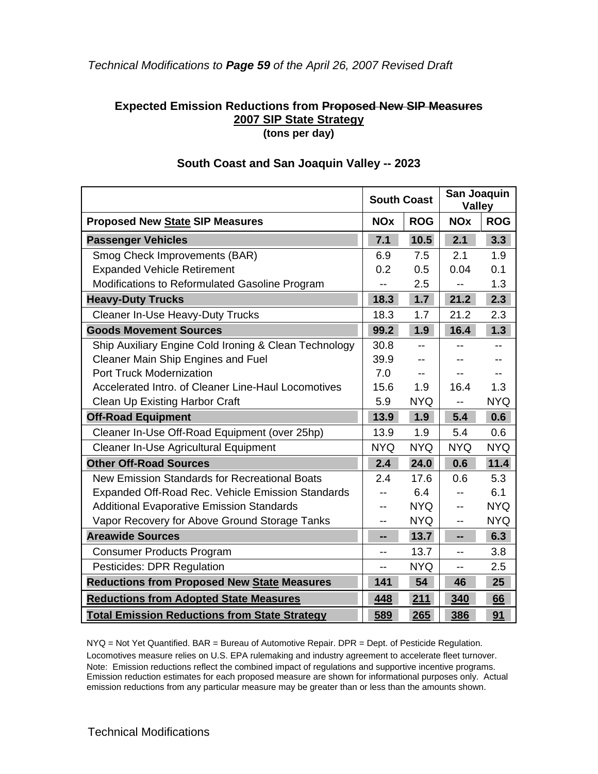#### *Technical Modifications to Page 59 of the April 26, 2007 Revised Draft*

#### **Expected Emission Reductions from Proposed New SIP Measures 2007 SIP State Strategy (tons per day)**

|                                                                                                                                                     | <b>South Coast</b> |                          | San Joaquin<br><b>Valley</b> |            |
|-----------------------------------------------------------------------------------------------------------------------------------------------------|--------------------|--------------------------|------------------------------|------------|
| <b>Proposed New State SIP Measures</b>                                                                                                              | <b>NOx</b>         | <b>ROG</b>               | <b>NOx</b>                   | <b>ROG</b> |
| <b>Passenger Vehicles</b>                                                                                                                           | 7.1                | 10.5                     | 2.1                          | 3.3        |
| Smog Check Improvements (BAR)                                                                                                                       | 6.9                | 7.5                      | 2.1                          | 1.9        |
| <b>Expanded Vehicle Retirement</b><br>0.2<br>0.5<br>Modifications to Reformulated Gasoline Program<br>2.5<br>--<br><b>Heavy-Duty Trucks</b><br>18.3 |                    |                          | 0.04                         | 0.1        |
|                                                                                                                                                     |                    |                          |                              | 1.3        |
|                                                                                                                                                     |                    | 1.7                      | 21.2                         | 2.3        |
| <b>Cleaner In-Use Heavy-Duty Trucks</b>                                                                                                             | 18.3               | 1.7                      | 21.2                         | 2.3        |
| <b>Goods Movement Sources</b>                                                                                                                       | 99.2               | 1.9                      | 16.4                         | 1.3        |
| Ship Auxiliary Engine Cold Ironing & Clean Technology                                                                                               | 30.8               |                          |                              |            |
| Cleaner Main Ship Engines and Fuel                                                                                                                  | 39.9               | $\overline{\phantom{a}}$ |                              |            |
| <b>Port Truck Modernization</b>                                                                                                                     | 7.0                | $- -$                    |                              |            |
| Accelerated Intro. of Cleaner Line-Haul Locomotives                                                                                                 | 15.6               | 1.9                      | 16.4                         | 1.3        |
| <b>Clean Up Existing Harbor Craft</b>                                                                                                               | 5.9                | <b>NYQ</b>               | --                           | <b>NYQ</b> |
| <b>Off-Road Equipment</b>                                                                                                                           | 13.9               | 1.9                      | 5.4                          | 0.6        |
| Cleaner In-Use Off-Road Equipment (over 25hp)                                                                                                       | 13.9               | 1.9                      | 5.4                          | 0.6        |
| <b>Cleaner In-Use Agricultural Equipment</b>                                                                                                        | <b>NYQ</b>         | <b>NYQ</b>               | <b>NYQ</b>                   | <b>NYQ</b> |
| <b>Other Off-Road Sources</b>                                                                                                                       | 2.4                | 24.0                     | 0.6                          | 11.4       |
| New Emission Standards for Recreational Boats                                                                                                       | 2.4                | 17.6                     | 0.6                          | 5.3        |
| <b>Expanded Off-Road Rec. Vehicle Emission Standards</b>                                                                                            | --                 | 6.4                      | --                           | 6.1        |
| <b>Additional Evaporative Emission Standards</b>                                                                                                    | --                 | <b>NYQ</b>               | $-$                          | <b>NYQ</b> |
| Vapor Recovery for Above Ground Storage Tanks                                                                                                       | --                 | <b>NYQ</b>               | $-$                          | <b>NYQ</b> |
| <b>Areawide Sources</b>                                                                                                                             | --                 | 13.7                     | --                           | 6.3        |
| <b>Consumer Products Program</b>                                                                                                                    | --                 | 13.7                     | $-$                          | 3.8        |
| Pesticides: DPR Regulation                                                                                                                          | --                 | <b>NYQ</b>               | --                           | 2.5        |
| <b>Reductions from Proposed New State Measures</b>                                                                                                  | 141                | 54                       | 46                           | 25         |
| <b>Reductions from Adopted State Measures</b>                                                                                                       | 448                | 211                      | 340                          | 66         |
| <b>Total Emission Reductions from State Strategy</b>                                                                                                | 589                | 265                      | 386                          | 91         |

#### **South Coast and San Joaquin Valley -- 2023**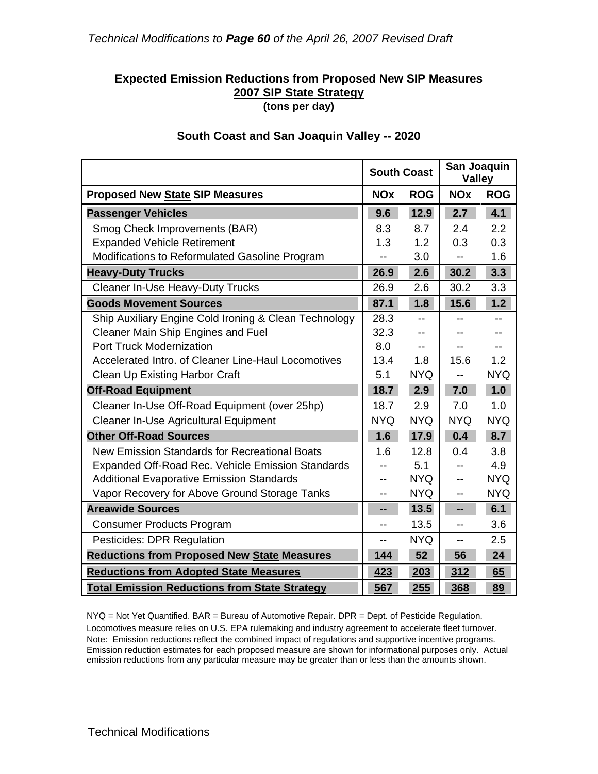#### **Expected Emission Reductions from Proposed New SIP Measures 2007 SIP State Strategy (tons per day)**

|                                                       | <b>South Coast</b> |            | San Joaquin<br><b>Valley</b> |            |
|-------------------------------------------------------|--------------------|------------|------------------------------|------------|
| <b>Proposed New State SIP Measures</b>                | <b>NOx</b>         | <b>ROG</b> | <b>NOx</b>                   | <b>ROG</b> |
| <b>Passenger Vehicles</b>                             | 9.6                | 12.9       | 2.7                          | 4.1        |
| Smog Check Improvements (BAR)                         | 8.3                | 8.7        | 2.4                          | 2.2        |
| <b>Expanded Vehicle Retirement</b>                    | 1.3                | 1.2        | 0.3                          | 0.3        |
| Modifications to Reformulated Gasoline Program        | --                 | 3.0        | $\overline{\phantom{a}}$     | 1.6        |
| <b>Heavy-Duty Trucks</b>                              | 26.9               | 2.6        | 30.2                         | 3.3        |
| <b>Cleaner In-Use Heavy-Duty Trucks</b>               | 26.9               | 2.6        | 30.2                         | 3.3        |
| <b>Goods Movement Sources</b>                         | 87.1               | 1.8        | 15.6                         | 1.2        |
| Ship Auxiliary Engine Cold Ironing & Clean Technology | 28.3               |            |                              | $-$        |
| <b>Cleaner Main Ship Engines and Fuel</b>             | 32.3               | --         |                              |            |
| <b>Port Truck Modernization</b>                       | 8.0                | $- -$      |                              | $- -$      |
| Accelerated Intro, of Cleaner Line-Haul Locomotives   | 13.4               | 1.8        | 15.6                         | 1.2        |
| <b>Clean Up Existing Harbor Craft</b>                 | 5.1                | <b>NYQ</b> | $-$                          | <b>NYQ</b> |
| <b>Off-Road Equipment</b>                             | 18.7               | 2.9        | 7.0                          | 1.0        |
| Cleaner In-Use Off-Road Equipment (over 25hp)         | 18.7               | 2.9        | 7.0                          | 1.0        |
| <b>Cleaner In-Use Agricultural Equipment</b>          | <b>NYQ</b>         | <b>NYQ</b> | <b>NYQ</b>                   | <b>NYQ</b> |
| <b>Other Off-Road Sources</b>                         | 1.6                | 17.9       | 0.4                          | 8.7        |
| New Emission Standards for Recreational Boats         | 1.6                | 12.8       | 0.4                          | 3.8        |
| Expanded Off-Road Rec. Vehicle Emission Standards     |                    | 5.1        |                              | 4.9        |
| <b>Additional Evaporative Emission Standards</b>      |                    | <b>NYQ</b> |                              | <b>NYQ</b> |
| Vapor Recovery for Above Ground Storage Tanks         | --                 | <b>NYQ</b> | --                           | <b>NYQ</b> |
| <b>Areawide Sources</b>                               | --                 | $13.5$     | --                           | 6.1        |
| <b>Consumer Products Program</b>                      |                    | 13.5       | $-$                          | 3.6        |
| Pesticides: DPR Regulation                            | --                 | <b>NYQ</b> | $-$                          | 2.5        |
| <b>Reductions from Proposed New State Measures</b>    | 144                | 52         | 56                           | 24         |
| <b>Reductions from Adopted State Measures</b>         | 423                | 203        | 312                          | 65         |
| <b>Total Emission Reductions from State Strategy</b>  | 567                | 255        | 368                          | 89         |

#### **South Coast and San Joaquin Valley -- 2020**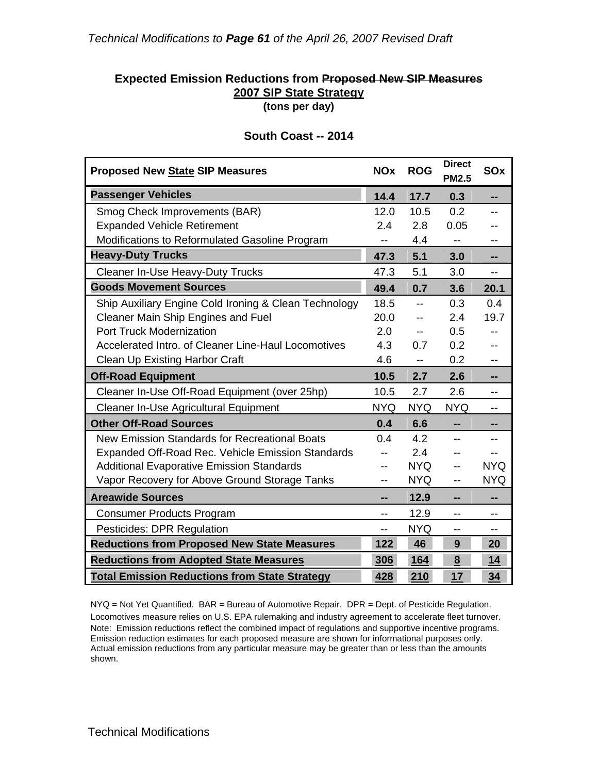#### **Expected Emission Reductions from Proposed New SIP Measures 2007 SIP State Strategy (tons per day)**

| <b>Proposed New State SIP Measures</b>                   | <b>NOx</b> | <b>ROG</b> | <b>Direct</b><br><b>PM2.5</b> | SOx        |
|----------------------------------------------------------|------------|------------|-------------------------------|------------|
| <b>Passenger Vehicles</b>                                | 14.4       | 17.7       | 0.3                           | --         |
| Smog Check Improvements (BAR)                            | 12.0       | 10.5       | 0.2                           |            |
| <b>Expanded Vehicle Retirement</b>                       | 2.4        | 2.8        | 0.05                          |            |
| Modifications to Reformulated Gasoline Program           | --         | 4.4        | $- -$                         | --         |
| <b>Heavy-Duty Trucks</b>                                 | 47.3       | 5.1        | 3.0                           | --         |
| <b>Cleaner In-Use Heavy-Duty Trucks</b>                  | 47.3       | 5.1        | 3.0                           |            |
| <b>Goods Movement Sources</b>                            | 49.4       | 0.7        | 3.6                           | 20.1       |
| Ship Auxiliary Engine Cold Ironing & Clean Technology    | 18.5       | $-$        | 0.3                           | 0.4        |
| Cleaner Main Ship Engines and Fuel                       | 20.0       | $-$        | 2.4                           | 19.7       |
| <b>Port Truck Modernization</b>                          | 2.0        | --         | 0.5                           |            |
| Accelerated Intro, of Cleaner Line-Haul Locomotives      | 4.3        | 0.7        | 0.2                           |            |
| Clean Up Existing Harbor Craft                           | 4.6        | --         | 0.2                           |            |
| <b>Off-Road Equipment</b>                                | 10.5       | 2.7        | 2.6                           | --         |
| Cleaner In-Use Off-Road Equipment (over 25hp)            | 10.5       | 2.7        | 2.6                           | --         |
| Cleaner In-Use Agricultural Equipment                    | <b>NYQ</b> | <b>NYQ</b> | <b>NYQ</b>                    |            |
| <b>Other Off-Road Sources</b>                            | 0.4        | 6.6        | --                            | --         |
| New Emission Standards for Recreational Boats            | 0.4        | 4.2        | $-$                           |            |
| <b>Expanded Off-Road Rec. Vehicle Emission Standards</b> |            | 2.4        | $-$                           |            |
| <b>Additional Evaporative Emission Standards</b>         | --         | <b>NYQ</b> | --                            | <b>NYQ</b> |
| Vapor Recovery for Above Ground Storage Tanks            |            | <b>NYQ</b> | $-$                           | NYQ.       |
| <b>Areawide Sources</b>                                  | --         | 12.9       | --                            |            |
| <b>Consumer Products Program</b>                         | --         | 12.9       | $-$                           | --         |
| Pesticides: DPR Regulation                               | --         | <b>NYQ</b> | $-$                           | $- -$      |
| <b>Reductions from Proposed New State Measures</b>       | 122        | 46         | 9                             | 20         |
| <b>Reductions from Adopted State Measures</b>            | 306        | 164        | 8                             | 14         |
| <b>Total Emission Reductions from State Strategy</b>     | 428        | 210        | 17                            | 34         |

#### **South Coast -- 2014**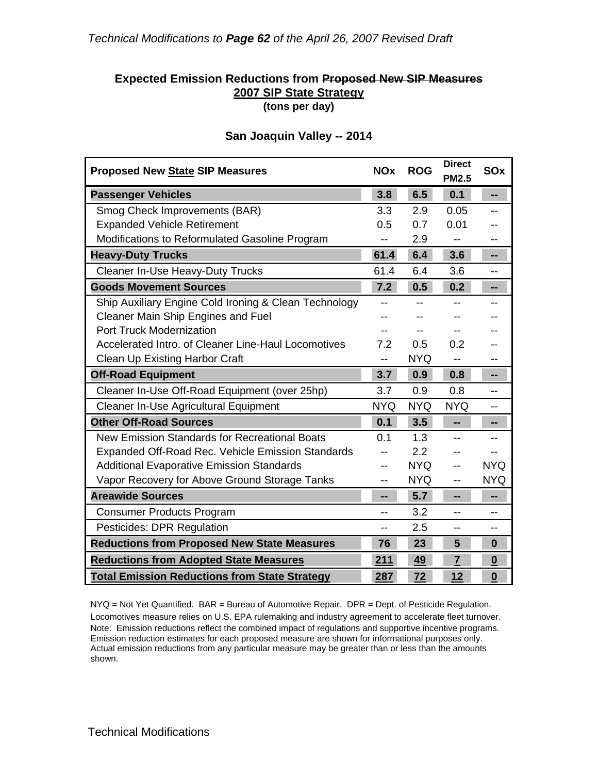#### **Expected Emission Reductions from Proposed New SIP Measures 2007 SIP State Strategy (tons per day)**

| <b>Proposed New State SIP Measures</b>                | <b>NOx</b> | <b>ROG</b> | <b>Direct</b><br><b>PM2.5</b> | SOx                      |
|-------------------------------------------------------|------------|------------|-------------------------------|--------------------------|
| <b>Passenger Vehicles</b>                             | 3.8        | 6.5        | 0.1                           | н.                       |
| Smog Check Improvements (BAR)                         | 3.3        | 2.9        | 0.05                          | $-$                      |
| <b>Expanded Vehicle Retirement</b>                    | 0.5        | 0.7        | 0.01                          |                          |
| Modifications to Reformulated Gasoline Program        | --         | 2.9        |                               |                          |
| <b>Heavy-Duty Trucks</b>                              | 61.4       | 6.4        | 3.6                           |                          |
| <b>Cleaner In-Use Heavy-Duty Trucks</b>               | 61.4       | 6.4        | 3.6                           |                          |
| <b>Goods Movement Sources</b>                         | 7.2        | 0.5        | 0.2                           | --                       |
| Ship Auxiliary Engine Cold Ironing & Clean Technology | $- -$      |            |                               |                          |
| <b>Cleaner Main Ship Engines and Fuel</b>             |            |            | --                            |                          |
| <b>Port Truck Modernization</b>                       |            | --         |                               |                          |
| Accelerated Intro, of Cleaner Line-Haul Locomotives   | 7.2        | 0.5        | 0.2                           |                          |
| <b>Clean Up Existing Harbor Craft</b>                 | --         | <b>NYQ</b> |                               |                          |
| <b>Off-Road Equipment</b>                             | 3.7        | 0.9        | 0.8                           | --                       |
| Cleaner In-Use Off-Road Equipment (over 25hp)         | 3.7        | 0.9        | 0.8                           | --                       |
| Cleaner In-Use Agricultural Equipment                 | <b>NYQ</b> | <b>NYQ</b> | <b>NYQ</b>                    |                          |
| <b>Other Off-Road Sources</b>                         | 0.1        | 3.5        | --                            | --                       |
| New Emission Standards for Recreational Boats         | 0.1        | 1.3        | $-$                           |                          |
| Expanded Off-Road Rec. Vehicle Emission Standards     |            | 2.2        |                               |                          |
| <b>Additional Evaporative Emission Standards</b>      | --         | <b>NYQ</b> | $-$                           | <b>NYQ</b>               |
| Vapor Recovery for Above Ground Storage Tanks         | $- -$      | <b>NYQ</b> | $-$                           | <b>NYQ</b>               |
| <b>Areawide Sources</b>                               | --         | 5.7        | --                            | --                       |
| <b>Consumer Products Program</b>                      | $-$        | 3.2        | $-$                           | $-$                      |
| Pesticides: DPR Regulation                            | $-$        | 2.5        | $-$                           | --                       |
| <b>Reductions from Proposed New State Measures</b>    | 76         | 23         | 5                             | $\bf{0}$                 |
| <b>Reductions from Adopted State Measures</b>         | 211        | 49         | $\overline{7}$                | $\underline{\mathbf{0}}$ |
| <b>Total Emission Reductions from State Strategy</b>  | 287        | 72         | 12                            | $\underline{\mathbf{0}}$ |

#### **San Joaquin Valley -- 2014**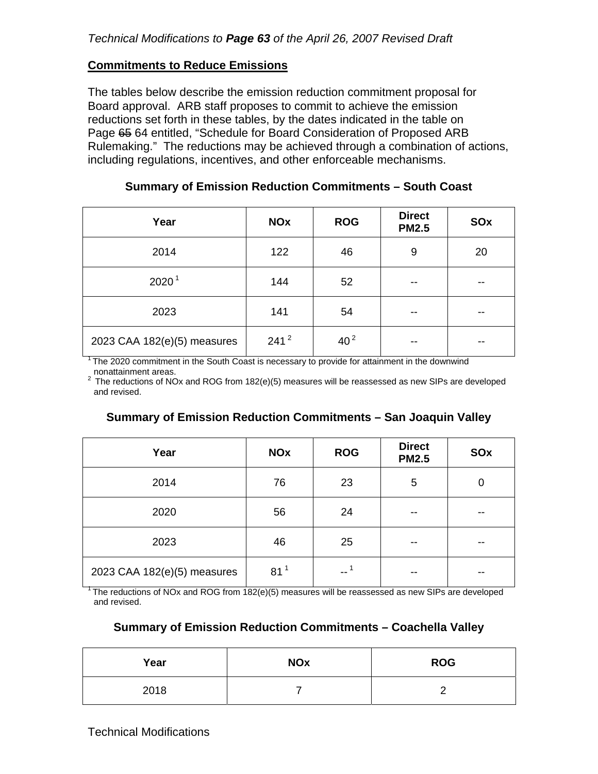#### **Commitments to Reduce Emissions**

The tables below describe the emission reduction commitment proposal for Board approval. ARB staff proposes to commit to achieve the emission reductions set forth in these tables, by the dates indicated in the table on Page 65 64 entitled, "Schedule for Board Consideration of Proposed ARB Rulemaking." The reductions may be achieved through a combination of actions, including regulations, incentives, and other enforceable mechanisms.

| Year                        | <b>NOx</b> | <b>ROG</b>      | <b>Direct</b><br><b>PM2.5</b> | SOx   |
|-----------------------------|------------|-----------------|-------------------------------|-------|
| 2014                        | 122        | 46              | 9                             | 20    |
| 2020 <sup>1</sup>           | 144        | 52              | --                            | --    |
| 2023                        | 141        | 54              | $- -$                         | $- -$ |
| 2023 CAA 182(e)(5) measures | $241^2$    | 40 <sup>2</sup> |                               | --    |

#### **Summary of Emission Reduction Commitments – South Coast**

1 The 2020 commitment in the South Coast is necessary to provide for attainment in the downwind

nonattainment areas.<br><sup>2</sup> The reductions of NOx and ROG from 182(e)(5) measures will be reassessed as new SIPs are developed and revised.

#### **Summary of Emission Reduction Commitments – San Joaquin Valley**

| Year                        | <b>NOx</b>      | <b>ROG</b> | <b>Direct</b><br><b>PM2.5</b> | SOx         |
|-----------------------------|-----------------|------------|-------------------------------|-------------|
| 2014                        | 76              | 23         | 5                             | $\mathbf 0$ |
| 2020                        | 56              | 24         | --                            | $- -$       |
| 2023                        | 46              | 25         | --                            | --          |
| 2023 CAA 182(e)(5) measures | 81 <sup>1</sup> | $-1$       | --                            | --          |

 $1$ <sup>1</sup> The reductions of NOx and ROG from 182(e)(5) measures will be reassessed as new SIPs are developed and revised.

#### **Summary of Emission Reduction Commitments – Coachella Valley**

| Year | <b>NOx</b> | <b>ROG</b> |
|------|------------|------------|
| 2018 |            |            |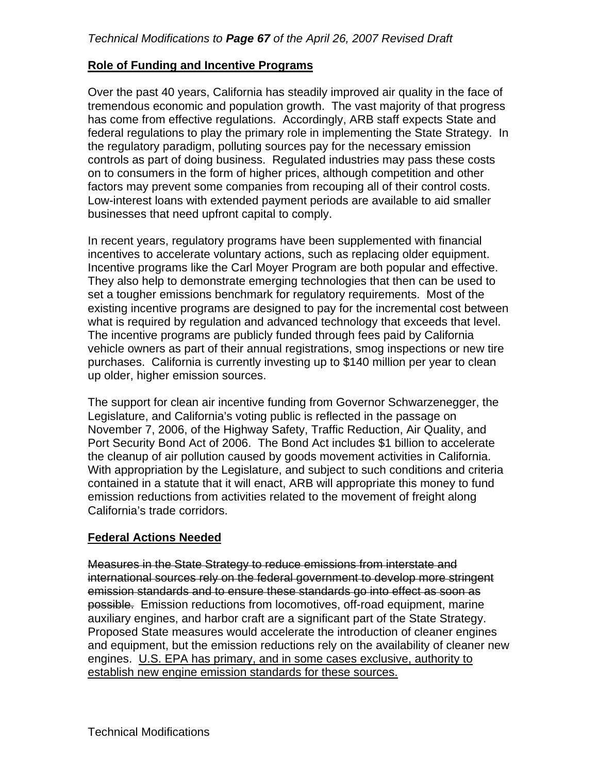#### **Role of Funding and Incentive Programs**

Over the past 40 years, California has steadily improved air quality in the face of tremendous economic and population growth. The vast majority of that progress has come from effective regulations. Accordingly, ARB staff expects State and federal regulations to play the primary role in implementing the State Strategy. In the regulatory paradigm, polluting sources pay for the necessary emission controls as part of doing business. Regulated industries may pass these costs on to consumers in the form of higher prices, although competition and other factors may prevent some companies from recouping all of their control costs. Low-interest loans with extended payment periods are available to aid smaller businesses that need upfront capital to comply.

incentives to accelerate voluntary actions, such as replacing older equipment. In recent years, regulatory programs have been supplemented with financial Incentive programs like the Carl Moyer Program are both popular and effective. They also help to demonstrate emerging technologies that then can be used to set a tougher emissions benchmark for regulatory requirements. Most of the existing incentive programs are designed to pay for the incremental cost between what is required by regulation and advanced technology that exceeds that level. The incentive programs are publicly funded through fees paid by California vehicle owners as part of their annual registrations, smog inspections or new tire purchases. California is currently investing up to \$140 million per year to clean up older, higher emission sources.

The support for clean air incentive funding from Governor Schwarzenegger, the Legislature, and California's voting public is reflected in the passage on November 7, 2006, of the Highway Safety, Traffic Reduction, Air Quality, and Port Security Bond Act of 2006. The Bond Act includes \$1 billion to accelerate the cleanup of air pollution caused by goods movement activities in California. With appropriation by the Legislature, and subject to such conditions and criteria contained in a statute that it will enact, ARB will appropriate this money to fund emission reductions from activities related to the movement of freight along California's trade corridors.

#### **Federal Actions Needed**

Measures in the State Strategy to reduce emissions from interstate and international sources rely on the federal government to develop more stringent emission standards and to ensure these standards go into effect as soon as possible. Emission reductions from locomotives, off-road equipment, marine auxiliary engines, and harbor craft are a significant part of the State Strategy. Proposed State measures would accelerate the introduction of cleaner engines and equipment, but the emission reductions rely on the availability of cleaner new engines. U.S. EPA has primary, and in some cases exclusive, authority to establish new engine emission standards for these sources.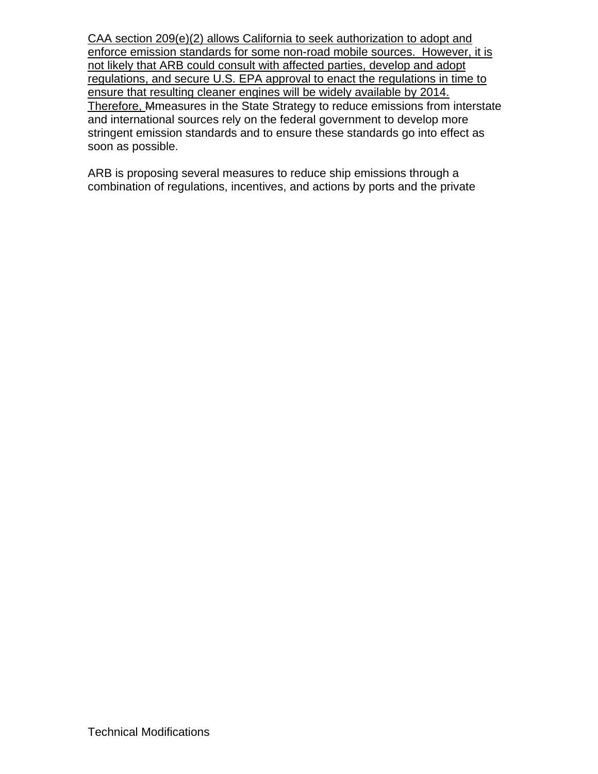CAA section 209(e)(2) allows California to seek authorization to adopt and enforce emission standards for some non-road mobile sources. However, it is not likely that ARB could consult with affected parties, develop and adopt regulations, and secure U.S. EPA approval to enact the regulations in time to ensure that resulting cleaner engines will be widely available by 2014. Therefore, Mmeasures in the State Strategy to reduce emissions from interstate and international sources rely on the federal government to develop more stringent emission standards and to ensure these standards go into effect as soon as possible.

ARB is proposing several measures to reduce ship emissions through a combination of regulations, incentives, and actions by ports and the private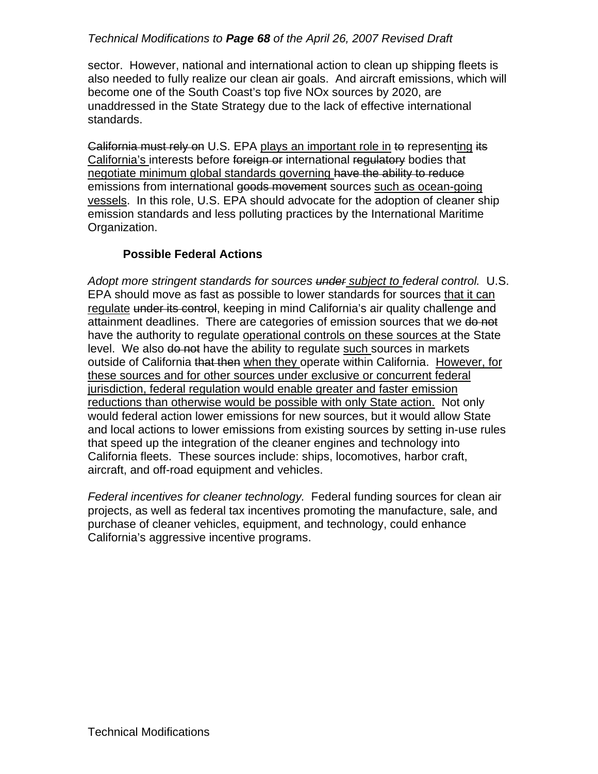## *Technical Modifications to Page 68 of the April 26, 2007 Revised Draft*

sector. However, national and international action to clean up shipping fleets is also needed to fully realize our clean air goals. And aircraft emissions, which will become one of the South Coast's top five NOx sources by 2020, are unaddressed in the State Strategy due to the lack of effective international standards.

<del>California must rely on</del> U.S. EPA <u>plays an important role in</u> to represent<u>ing</u> its<br>California's interests before <del>foreign or</del> international r<del>egulatory</del> bodies that negotiate minimum global standards governing have the ability to reduce emissions from international goods movement sources such as ocean-going vessels. In this role, U.S. EPA should advocate for the adoption of cleaner ship emission standards and less polluting practices by the International Maritime Organization.

## **Possible Federal Actions**

*Adopt more stringent standards for sources under subject to federal control.* U.S. EPA should move as fast as possible to lower standards for sources that it can regulate under its control, keeping in mind California's air quality challenge and attainment deadlines. There are categories of emission sources that we do not have the authority to regulate operational controls on these sources at the State level. We also do not have the ability to regulate such sources in markets outside of California that then when they operate within California. However, for these sources and for other sources under exclusive or concurrent federal jurisdiction, federal regulation would enable greater and faster emission reductions than otherwise would be possible with only State action. Not only would federal action lower emissions for new sources, but it would allow State and local actions to lower emissions from existing sources by setting in-use rules that speed up the integration of the cleaner engines and technology into California fleets. These sources include: ships, locomotives, harbor craft, aircraft, and off-road equipment and vehicles.

*Federal incentives for cleaner technology.* Federal funding sources for clean air projects, as well as federal tax incentives promoting the manufacture, sale, and purchase of cleaner vehicles, equipment, and technology, could enhance California's aggressive incentive programs.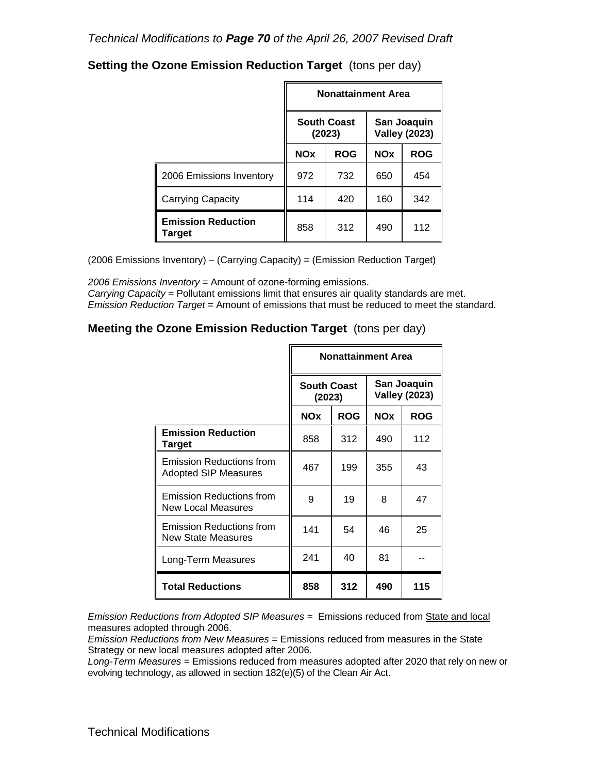|                                     |            | <b>Nonattainment Area</b>    |            |                                     |
|-------------------------------------|------------|------------------------------|------------|-------------------------------------|
|                                     |            | <b>South Coast</b><br>(2023) |            | San Joaquin<br><b>Valley (2023)</b> |
|                                     | <b>NOx</b> | <b>ROG</b>                   | <b>NOx</b> | <b>ROG</b>                          |
| 2006 Emissions Inventory            | 972        | 732                          | 650        | 454                                 |
| <b>Carrying Capacity</b>            | 114        | 420                          | 160        | 342                                 |
| <b>Emission Reduction</b><br>Target | 858        | 312                          | 490        | 112                                 |

## **Setting the Ozone Emission Reduction Target** (tons per day)

(2006 Emissions Inventory) – (Carrying Capacity) = (Emission Reduction Target)

*2006 Emissions Inventory* = Amount of ozone-forming emissions. *Carrying Capacity* = Pollutant emissions limit that ensures air quality standards are met. *Emission Reduction Target* = Amount of emissions that must be reduced to meet the standard.

## **Meeting the Ozone Emission Reduction Target** (tons per day)

|                                                                |                              | <b>Nonattainment Area</b> |            |                                     |
|----------------------------------------------------------------|------------------------------|---------------------------|------------|-------------------------------------|
|                                                                | <b>South Coast</b><br>(2023) |                           |            | San Joaquin<br><b>Valley (2023)</b> |
|                                                                | <b>NOx</b>                   | <b>ROG</b>                | <b>NOx</b> | <b>ROG</b>                          |
| <b>Emission Reduction</b><br>Target                            | 858                          | 312                       | 490        | 112                                 |
| <b>Emission Reductions from</b><br><b>Adopted SIP Measures</b> | 467                          | 199                       | 355        | 43                                  |
| <b>Emission Reductions from</b><br>New Local Measures          | 9                            | 19                        | 8          | 47                                  |
| Emission Reductions from<br>New State Measures                 | 141                          | 54                        | 46         | 25                                  |
| Long-Term Measures                                             | 241                          | 40                        | 81         |                                     |
| <b>Total Reductions</b>                                        | 858                          | 312                       | 490        | 115                                 |

*Emission Reductions from Adopted SIP Measures =* Emissions reduced from State and local measures adopted through 2006.

*Emission Reductions from New Measures =* Emissions reduced from measures in the State Strategy or new local measures adopted after 2006.

 *Long-Term Measures* = Emissions reduced from measures adopted after 2020 that rely on new or evolving technology, as allowed in section 182(e)(5) of the Clean Air Act.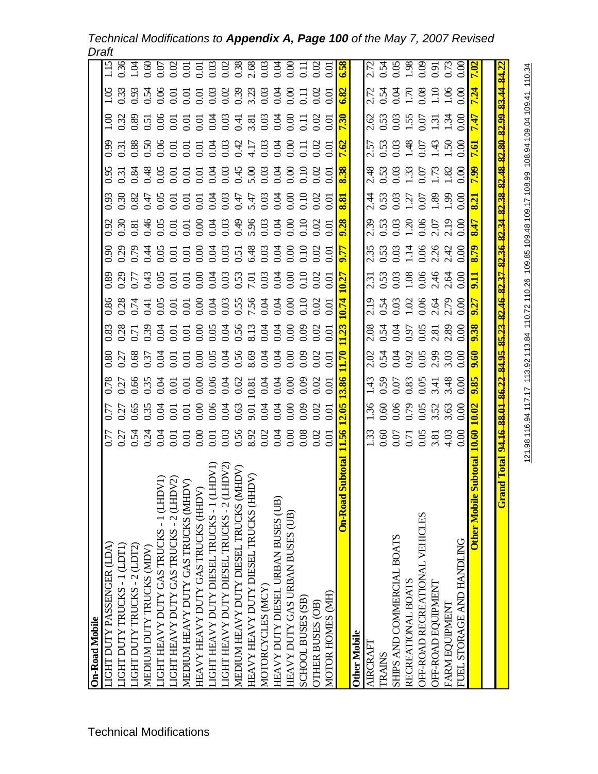*Technical Modifications to Appendix A, Page 100 of the May 7, 2007 Revised Draft* 

| 2.05<br><b>1.56</b>                                                 | 3.86                                                                                                   |                                                                                                                                                              |                                                                                                                                                                                                    |                                                                                                                                                                             |      |                                                                                                                                                                             |                                                                      | 8.38                                                                            | <b>7.62</b>                                                                                                                                                                                                                                                                                                                                                                                                            |                                                          |                                                                                                                                              | 85.9                                                                                                                                                                                                       |
|---------------------------------------------------------------------|--------------------------------------------------------------------------------------------------------|--------------------------------------------------------------------------------------------------------------------------------------------------------------|----------------------------------------------------------------------------------------------------------------------------------------------------------------------------------------------------|-----------------------------------------------------------------------------------------------------------------------------------------------------------------------------|------|-----------------------------------------------------------------------------------------------------------------------------------------------------------------------------|----------------------------------------------------------------------|---------------------------------------------------------------------------------|------------------------------------------------------------------------------------------------------------------------------------------------------------------------------------------------------------------------------------------------------------------------------------------------------------------------------------------------------------------------------------------------------------------------|----------------------------------------------------------|----------------------------------------------------------------------------------------------------------------------------------------------|------------------------------------------------------------------------------------------------------------------------------------------------------------------------------------------------------------|
|                                                                     |                                                                                                        |                                                                                                                                                              |                                                                                                                                                                                                    |                                                                                                                                                                             |      |                                                                                                                                                                             |                                                                      |                                                                                 |                                                                                                                                                                                                                                                                                                                                                                                                                        |                                                          |                                                                                                                                              |                                                                                                                                                                                                            |
|                                                                     |                                                                                                        |                                                                                                                                                              |                                                                                                                                                                                                    |                                                                                                                                                                             |      |                                                                                                                                                                             |                                                                      |                                                                                 |                                                                                                                                                                                                                                                                                                                                                                                                                        |                                                          |                                                                                                                                              |                                                                                                                                                                                                            |
|                                                                     |                                                                                                        |                                                                                                                                                              |                                                                                                                                                                                                    |                                                                                                                                                                             |      |                                                                                                                                                                             |                                                                      |                                                                                 |                                                                                                                                                                                                                                                                                                                                                                                                                        |                                                          |                                                                                                                                              |                                                                                                                                                                                                            |
|                                                                     |                                                                                                        |                                                                                                                                                              |                                                                                                                                                                                                    |                                                                                                                                                                             |      |                                                                                                                                                                             |                                                                      |                                                                                 |                                                                                                                                                                                                                                                                                                                                                                                                                        |                                                          |                                                                                                                                              |                                                                                                                                                                                                            |
|                                                                     |                                                                                                        |                                                                                                                                                              |                                                                                                                                                                                                    |                                                                                                                                                                             |      |                                                                                                                                                                             |                                                                      |                                                                                 |                                                                                                                                                                                                                                                                                                                                                                                                                        |                                                          |                                                                                                                                              |                                                                                                                                                                                                            |
|                                                                     |                                                                                                        |                                                                                                                                                              |                                                                                                                                                                                                    |                                                                                                                                                                             |      |                                                                                                                                                                             |                                                                      |                                                                                 |                                                                                                                                                                                                                                                                                                                                                                                                                        |                                                          |                                                                                                                                              | 275<br>2758<br>2895728 <mark>2</mark>                                                                                                                                                                      |
|                                                                     |                                                                                                        |                                                                                                                                                              |                                                                                                                                                                                                    |                                                                                                                                                                             |      |                                                                                                                                                                             |                                                                      |                                                                                 |                                                                                                                                                                                                                                                                                                                                                                                                                        |                                                          |                                                                                                                                              |                                                                                                                                                                                                            |
|                                                                     |                                                                                                        |                                                                                                                                                              |                                                                                                                                                                                                    |                                                                                                                                                                             |      |                                                                                                                                                                             |                                                                      |                                                                                 |                                                                                                                                                                                                                                                                                                                                                                                                                        |                                                          |                                                                                                                                              |                                                                                                                                                                                                            |
|                                                                     |                                                                                                        |                                                                                                                                                              |                                                                                                                                                                                                    |                                                                                                                                                                             |      |                                                                                                                                                                             |                                                                      |                                                                                 |                                                                                                                                                                                                                                                                                                                                                                                                                        |                                                          |                                                                                                                                              |                                                                                                                                                                                                            |
| <u> 10.02</u><br>10.60                                              | 9.85                                                                                                   |                                                                                                                                                              |                                                                                                                                                                                                    |                                                                                                                                                                             |      |                                                                                                                                                                             |                                                                      | $\mathbf{g}$                                                                    | $\mathbf{e}$                                                                                                                                                                                                                                                                                                                                                                                                           |                                                          |                                                                                                                                              |                                                                                                                                                                                                            |
|                                                                     |                                                                                                        |                                                                                                                                                              |                                                                                                                                                                                                    |                                                                                                                                                                             |      |                                                                                                                                                                             |                                                                      |                                                                                 |                                                                                                                                                                                                                                                                                                                                                                                                                        |                                                          |                                                                                                                                              |                                                                                                                                                                                                            |
|                                                                     |                                                                                                        |                                                                                                                                                              |                                                                                                                                                                                                    |                                                                                                                                                                             |      |                                                                                                                                                                             |                                                                      |                                                                                 |                                                                                                                                                                                                                                                                                                                                                                                                                        |                                                          |                                                                                                                                              |                                                                                                                                                                                                            |
|                                                                     |                                                                                                        |                                                                                                                                                              |                                                                                                                                                                                                    |                                                                                                                                                                             |      |                                                                                                                                                                             |                                                                      |                                                                                 |                                                                                                                                                                                                                                                                                                                                                                                                                        |                                                          |                                                                                                                                              | 110.34                                                                                                                                                                                                     |
| $\frac{33}{1.33}$<br>0.60 7 7 9 8 8 9 9 0.00<br>0.00 9 7 8 9 9 0.00 | $\begin{array}{c} 1.36 \\ 1.36 \\ 0.60 \\ 0.00 \\ 0.00 \\ 0.00 \\ 0.00 \\ 0.00 \\ 0.00 \\ \end{array}$ | 24.16.88.01.86.22<br>1.43<br>0.50<br>0.62<br>0.63<br>0.62<br>0.62<br>0.60<br>8<br>8 5 8 8 9 5 5 5 8 9 5 9 8 9 9 9 9 9 9<br>6 5 9 9 9 9 9 9 9 9 9 9 9 9 9 9 9 | <b>84.95</b><br>$\frac{170}{2}$<br>8<br>8 5 6 6 5 5 5 5 6 9 5 5 6 6 5 6 6 6 6 6<br>8 6 7 8 5 5 5 6 6 6 6 6 6 6 6 6 6 6 6 6<br>$2.024$<br>$0.54$<br>$0.925$<br>$0.05$<br>$0.05$<br>$0.00$<br>$0.00$ | 83<br>83 8 5 9 5 5 5 6 9 9 5 9 6 7 8 9 9 9 9 0 1<br>0 8 9 5 6 6 6 6 6 6 8 9 8 9 6 6 6 6 6 6 7<br><b>1.23</b><br>2.08<br>0.54<br>0.97<br>0.08<br>0.00<br>0.00<br><b>9.38</b> | 0.74 | $\frac{7.31}{0.53}$<br>0.53<br>0.08<br>0.06<br>0.00<br>8<br>8 8 8 5 4 5 5 5 5 6 5 6 6 6 6 7 6 6 6 6 6 6<br>8 8 8 5 4 5 6 5 6 6 6 6 6 6 6 6 6 6 6 6 6 6<br>$\overline{0.27}$ | 1553<br>1563148 <mark>679</mark><br>1563148 <mark>679</mark><br>9.77 | <u>8.81</u><br>9.28<br>33<br>0.53<br>0.53<br>0.53<br>0.53<br>0.5 <mark>3</mark> | $\frac{2.48}{0.53}$<br>$\frac{0.53}{0.03}$<br>$\frac{1.73}{0.00}$<br>$\begin{array}{c}\n 4.53 \\  0.53 \\  1.55 \\  2.55 \\  3.55 \\  4.55 \\  5.55 \\  6.55 \\  7.55 \\  8.55 \\  9.55 \\  1.55 \\  1.55 \\  1.55 \\  1.55 \\  1.55 \\  1.55 \\  1.55 \\  1.55 \\  1.55 \\  1.55 \\  1.55 \\  1.55 \\  1.55 \\  1.55 \\  1.55 \\  1.55 \\  1.55 \\  1.55 \\  1.55 \\  1.55 \\  1.55 \\  1.55 \\  1.55 \\  1.55 \\  1$ | $2.57$<br>$0.53$<br>$0.03$<br>$1.48$<br>$1.50$<br>$1.50$ | 85.23 82.46 82.37 82.36 82.34 82.38 82.48 82.80 82.99<br>0.53<br>0.53<br>0.55 m<br>0.6 <mark>17</mark><br>0.7 <mark>17</mark><br><b>7.30</b> | 83.44 84.22<br>13333480000000000000000000 <mark>00</mark><br>1339480000000000000000000 <mark>0</mark><br>121.98 116.94 117.17 113.92 113.84 110.72 110.26 109.85 109.48 109.17 108.99 108.94 109.04 109.41 |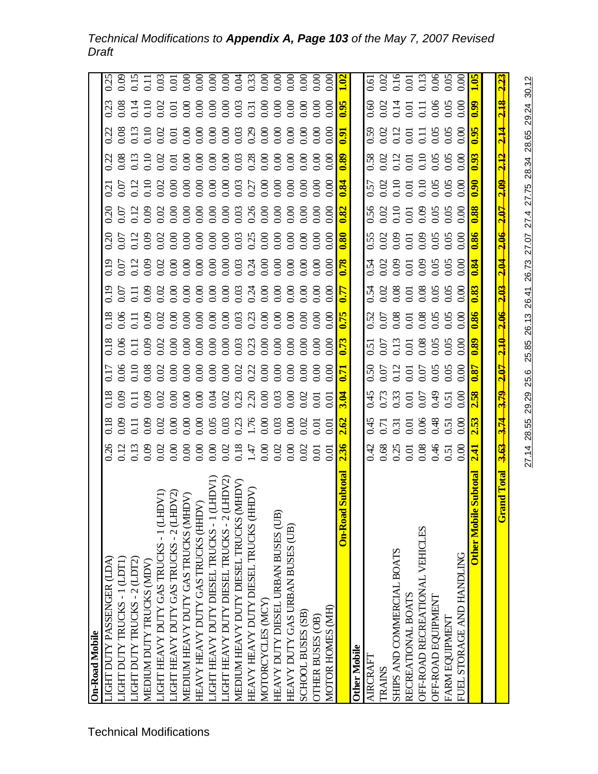## *Technical Modifications to Appendix A, Page 103 of the May 7, 2007 Revised Draft*

| <b>On-Road Mobile</b>                                                                                                     |                                                 |                                                      |                                                                |                                                           |                          |                                                               |                                        |                         |                         |                                    |                         |                          |                           |                                                                                                       |
|---------------------------------------------------------------------------------------------------------------------------|-------------------------------------------------|------------------------------------------------------|----------------------------------------------------------------|-----------------------------------------------------------|--------------------------|---------------------------------------------------------------|----------------------------------------|-------------------------|-------------------------|------------------------------------|-------------------------|--------------------------|---------------------------|-------------------------------------------------------------------------------------------------------|
| LIGHT DUTY PASSENGER (LDA)                                                                                                |                                                 |                                                      |                                                                |                                                           |                          |                                                               |                                        |                         |                         |                                    |                         |                          |                           |                                                                                                       |
| LIGHT DUTY TRUCKS - 1 (LDT1)                                                                                              |                                                 |                                                      |                                                                |                                                           |                          |                                                               |                                        |                         |                         |                                    |                         |                          |                           |                                                                                                       |
| LIGHT DUTY TRUCKS - 2 (LDT2)                                                                                              |                                                 |                                                      |                                                                |                                                           |                          |                                                               |                                        |                         |                         |                                    |                         |                          |                           |                                                                                                       |
| MEDIUM DUTY TRUCKS (MDV)                                                                                                  |                                                 |                                                      |                                                                |                                                           |                          |                                                               |                                        |                         |                         |                                    |                         |                          |                           |                                                                                                       |
|                                                                                                                           |                                                 |                                                      |                                                                |                                                           |                          |                                                               |                                        |                         |                         |                                    |                         |                          |                           |                                                                                                       |
|                                                                                                                           |                                                 |                                                      |                                                                |                                                           |                          |                                                               |                                        |                         |                         |                                    |                         |                          |                           |                                                                                                       |
| LIGHT HEAVY DUTY GAS TRUCKS - 1 (LHDV1)<br>LIGHT HEAVY DUTY GAS TRUCKS - 2 (LHDV2)<br>MEDIUM HEAVY DUTY GAS TRUCKS (MHDV) |                                                 |                                                      | 3 8 7 8 8 9 8 8 5 8 9 8 9 8 9 8 9 8 9 8 9 9 0 7 <mark>4</mark> | 8 8 5 5 8 6 8 6 8 6 8 9 8 9 8 8 8 9 8 9 8 <mark>17</mark> |                          |                                                               |                                        |                         |                         |                                    |                         |                          |                           |                                                                                                       |
| HEAVY HEAVY DUTY GAS TRUCKS (HHDV)                                                                                        |                                                 |                                                      |                                                                |                                                           |                          |                                                               |                                        |                         |                         |                                    |                         |                          |                           |                                                                                                       |
| LHDV1<br>LIGHT HEAVY DUTY DIESEL TRUCKS-1(I                                                                               |                                                 |                                                      |                                                                |                                                           |                          |                                                               |                                        |                         |                         |                                    |                         |                          |                           |                                                                                                       |
| HDV2<br>JGHT HEAVY DUTY DIESEL TRUCKS-20                                                                                  |                                                 |                                                      |                                                                |                                                           |                          |                                                               |                                        |                         |                         |                                    |                         |                          |                           |                                                                                                       |
| NHID<br>MEDIUM HEAVY DUTY DESEL TRUCKS (N                                                                                 |                                                 |                                                      |                                                                |                                                           |                          |                                                               |                                        |                         |                         |                                    |                         |                          |                           |                                                                                                       |
| HEAVY HEAVY DUTY DIESEL TRUCKS (HI                                                                                        |                                                 |                                                      |                                                                |                                                           |                          |                                                               |                                        |                         |                         |                                    |                         |                          |                           |                                                                                                       |
| MOTORCYCLES (MCY)                                                                                                         |                                                 |                                                      |                                                                |                                                           |                          |                                                               |                                        |                         |                         |                                    |                         |                          |                           |                                                                                                       |
| HEAVY DUTY DIESEL URBAN BUSES (UB)                                                                                        |                                                 |                                                      |                                                                |                                                           |                          |                                                               |                                        |                         |                         |                                    |                         |                          |                           |                                                                                                       |
| HEAVY DUTY GAS URBAN BUSES (UB)                                                                                           |                                                 |                                                      |                                                                |                                                           |                          |                                                               |                                        |                         |                         |                                    |                         |                          |                           |                                                                                                       |
| <b>SCHOOL BUSES (SB)</b>                                                                                                  |                                                 |                                                      |                                                                |                                                           |                          |                                                               |                                        |                         |                         |                                    |                         |                          |                           |                                                                                                       |
| OTHER BUSES (OB)                                                                                                          |                                                 |                                                      |                                                                |                                                           |                          |                                                               |                                        |                         |                         |                                    |                         |                          |                           |                                                                                                       |
| MOTOR HOMES (MH)                                                                                                          |                                                 |                                                      |                                                                |                                                           |                          |                                                               |                                        |                         |                         |                                    |                         |                          |                           |                                                                                                       |
| On-Road                                                                                                                   | 2.36                                            | 2.62                                                 |                                                                | $\overline{5}$                                            |                          | $\sqrt{7}$                                                    | $\overline{\mathbf{578}}$              |                         | $\overline{\mathbf{S}}$ | $\overline{8.0}$                   | 0.89                    | $\overline{16.0}$        |                           |                                                                                                       |
| Other Mobile                                                                                                              |                                                 |                                                      |                                                                |                                                           |                          |                                                               |                                        |                         |                         |                                    |                         |                          |                           |                                                                                                       |
| ARCRAFT                                                                                                                   |                                                 |                                                      |                                                                |                                                           |                          |                                                               |                                        |                         |                         |                                    |                         |                          |                           |                                                                                                       |
| <b>TRAINS</b>                                                                                                             |                                                 |                                                      |                                                                |                                                           |                          |                                                               |                                        |                         |                         |                                    |                         |                          |                           |                                                                                                       |
| SHIPS AND COMMERCIAL BOATS                                                                                                |                                                 |                                                      |                                                                |                                                           |                          |                                                               |                                        |                         |                         |                                    |                         |                          |                           |                                                                                                       |
| RECREATIONAL BOATS                                                                                                        | $0.688$<br>$0.600088$<br>$0.600000$<br>$0.5000$ | 0.45<br>0.51<br>0.00<br>0.00<br>0.00<br>0.00<br>0.00 |                                                                | 0.50<br>0.01<br>0.01<br>0.05<br>0.00<br>0.00              |                          |                                                               | 54<br>0.00 0.00 0.00<br>0.00 0.00 0.00 |                         |                         |                                    | 88235388888888888888888 |                          |                           |                                                                                                       |
| OFF-ROAD RECREATIONAL VEHICLES                                                                                            |                                                 |                                                      |                                                                |                                                           |                          |                                                               |                                        |                         |                         |                                    |                         |                          |                           |                                                                                                       |
| OFF-ROAD EQUIPMENT                                                                                                        |                                                 |                                                      |                                                                |                                                           |                          |                                                               |                                        |                         |                         |                                    |                         |                          |                           |                                                                                                       |
| FARM EQUIPMENT                                                                                                            |                                                 |                                                      |                                                                |                                                           |                          |                                                               |                                        |                         |                         |                                    |                         |                          |                           |                                                                                                       |
| FUEL STORAGE AND HANDLING                                                                                                 |                                                 |                                                      | 45<br>0.73<br>0.0.0.0.0.00 <mark>.0.0</mark>                   | 5.51<br>0.013<br>0.0000000 <mark>8</mark>                 | 0.5858898 <mark>8</mark> | 3.8<br>0.0000000 <mark>00</mark><br>0.0000000 <mark>00</mark> |                                        | 53858888 <mark>8</mark> |                         | 57<br>0.010<br>0.010 0.08<br>0.000 |                         | 882251888 <mark>8</mark> | 8831518888 <mark>8</mark> | $\begin{array}{l} 0.61\ 0.02\ 0.16\ 0.01\ 0.01\ 0.06\ 0.000\ 0.000\ 0.000\ 0.000\ 0.000\ \end{array}$ |
| <b>Subtota</b><br><b>Other Mobile</b>                                                                                     | 2.41                                            | 2.52                                                 | $\overline{\overline{\mathbf{S}}}$                             |                                                           |                          |                                                               | $\overline{\textbf{8.0}}$              |                         |                         | $\overline{96}$                    | $\overline{0.93}$       |                          |                           |                                                                                                       |
|                                                                                                                           |                                                 |                                                      |                                                                |                                                           |                          |                                                               |                                        |                         |                         |                                    |                         |                          |                           |                                                                                                       |
| Total<br>Grand                                                                                                            | 3.63                                            | $\frac{1}{3}$                                        | <u> 202</u><br><b><u>979</u></b>                               |                                                           | 2.06                     | $\frac{2.03}{ }$                                              | $\frac{1}{2.04}$                       | $-2.06$                 | <b><u>202</u></b>       | 2.09                               | <u>2,12</u>             |                          |                           |                                                                                                       |
|                                                                                                                           | 27.14                                           | 29.29<br>28.55                                       | 25.6                                                           | 25.85                                                     | 26.13                    | 26.41                                                         | 26.73                                  | 27.07                   | 27.4                    | 27.75                              | 28.34                   | 28.65                    | 29.24                     | 30.12                                                                                                 |
|                                                                                                                           |                                                 |                                                      |                                                                |                                                           |                          |                                                               |                                        |                         |                         |                                    |                         |                          |                           |                                                                                                       |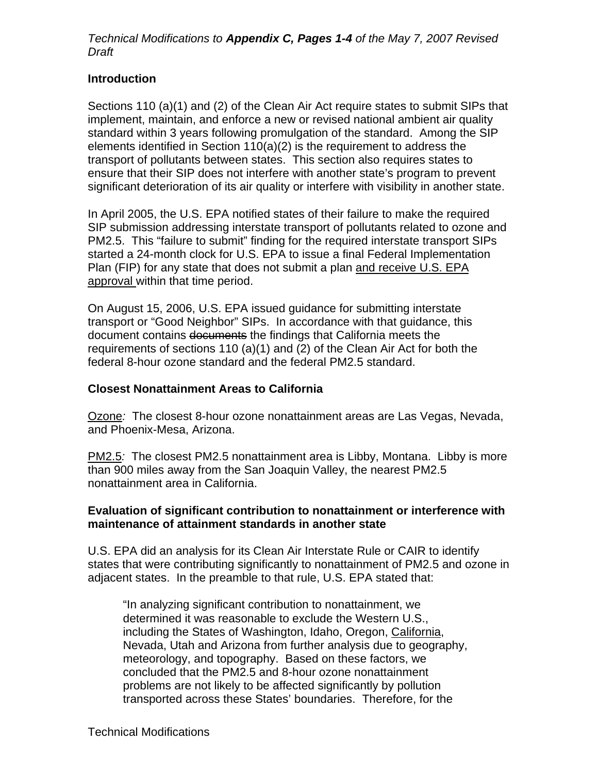## *Technical Modifications to Appendix C, Pages 1-4 of the May 7, 2007 Revised Draft*

## **Introduction**

Sections 110 (a)(1) and (2) of the Clean Air Act require states to submit SIPs that implement, maintain, and enforce a new or revised national ambient air quality standard within 3 years following promulgation of the standard. Among the SIP elements identified in Section 110(a)(2) is the requirement to address the transport of pollutants between states. This section also requires states to ensure that their SIP does not interfere with another state's program to prevent significant deterioration of its air quality or interfere with visibility in another state.

In April 2005, the U.S. EPA notified states of their failure to make the required SIP submission addressing interstate transport of pollutants related to ozone and PM2.5. This "failure to submit" finding for the required interstate transport SIPs started a 24-month clock for U.S. EPA to issue a final Federal Implementation Plan (FIP) for any state that does not submit a plan and receive U.S. EPA approval within that time period.

On August 15, 2006, U.S. EPA issued guidance for submitting interstate transport or "Good Neighbor" SIPs. In accordance with that guidance, this document contains documents the findings that California meets the requirements of sections 110 (a)(1) and (2) of the Clean Air Act for both the federal 8-hour ozone standard and the federal PM2.5 standard.

#### **Closest Nonattainment Areas to California**

Ozone*:* The closest 8-hour ozone nonattainment areas are Las Vegas, Nevada, and Phoenix-Mesa, Arizona.

PM2.5*:* The closest PM2.5 nonattainment area is Libby, Montana. Libby is more than 900 miles away from the San Joaquin Valley, the nearest PM2.5 nonattainment area in California.

#### **Evaluation of significant contribution to nonattainment or interference with maintenance of attainment standards in another state**

U.S. EPA did an analysis for its Clean Air Interstate Rule or CAIR to identify states that were contributing significantly to nonattainment of PM2.5 and ozone in adjacent states. In the preamble to that rule, U.S. EPA stated that:

"In analyzing significant contribution to nonattainment, we determined it was reasonable to exclude the Western U.S., including the States of Washington, Idaho, Oregon, California, Nevada, Utah and Arizona from further analysis due to geography, meteorology, and topography. Based on these factors, we concluded that the PM2.5 and 8-hour ozone nonattainment problems are not likely to be affected significantly by pollution transported across these States' boundaries. Therefore, for the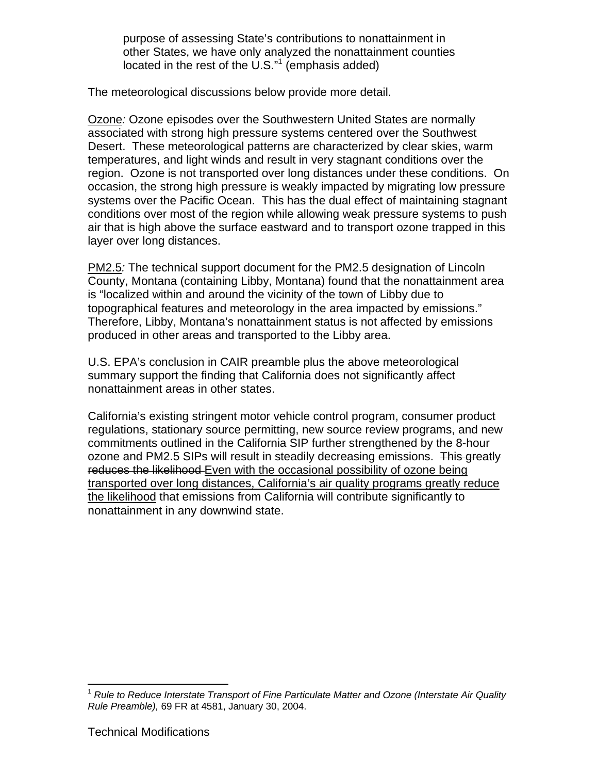purpose of assessing State's contributions to nonattainment in other States, we have only analyzed the nonattainment counties located in the rest of the U.S. $n<sup>1</sup>$  (emphasis added)

The meteorological discussions below provide more detail.

Ozone*:* Ozone episodes over the Southwestern United States are normally associated with strong high pressure systems centered over the Southwest Desert. These meteorological patterns are characterized by clear skies, warm temperatures, and light winds and result in very stagnant conditions over the region. Ozone is not transported over long distances under these conditions. On occasion, the strong high pressure is weakly impacted by migrating low pressure systems over the Pacific Ocean. This has the dual effect of maintaining stagnant conditions over most of the region while allowing weak pressure systems to push air that is high above the surface eastward and to transport ozone trapped in this layer over long distances.

PM2.5*:* The technical support document for the PM2.5 designation of Lincoln County, Montana (containing Libby, Montana) found that the nonattainment area is "localized within and around the vicinity of the town of Libby due to topographical features and meteorology in the area impacted by emissions." Therefore, Libby, Montana's nonattainment status is not affected by emissions produced in other areas and transported to the Libby area.

U.S. EPA's conclusion in CAIR preamble plus the above meteorological summary support the finding that California does not significantly affect nonattainment areas in other states.

nonattainment in any downwind state. California's existing stringent motor vehicle control program, consumer product regulations, stationary source permitting, new source review programs, and new commitments outlined in the California SIP further strengthened by the 8-hour ozone and PM2.5 SIPs will result in steadily decreasing emissions. This greatly reduces the likelihood Even with the occasional possibility of ozone being transported over long distances, California's air quality programs greatly reduce the likelihood that emissions from California will contribute significantly to nonattainment in any downwind state.<br>1 *Rule to Reduce Interstate Transport of Fine Particulate Matter and Ozone (Interstate Air Quality* 

 $\overline{a}$ 

*Rule Preamble),* 69 FR at 4581, January 30, 2004.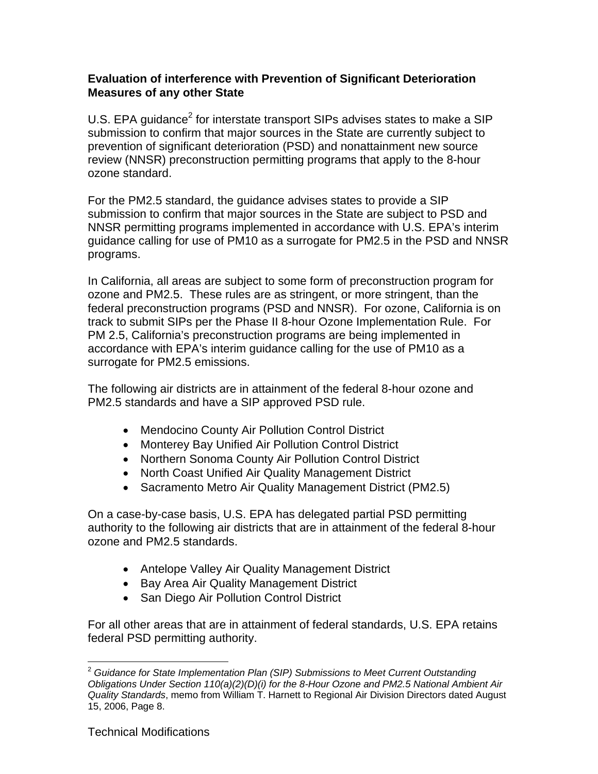## **Evaluation of interference with Prevention of Significant Deterioration Measures of any other State**

U.S. EPA guidance<sup>2</sup> for interstate transport SIPs advises states to make a SIP submission to confirm that major sources in the State are currently subject to prevention of significant deterioration (PSD) and nonattainment new source review (NNSR) preconstruction permitting programs that apply to the 8-hour ozone standard.

For the PM2.5 standard, the guidance advises states to provide a SIP submission to confirm that major sources in the State are subject to PSD and NNSR permitting programs implemented in accordance with U.S. EPA's interim guidance calling for use of PM10 as a surrogate for PM2.5 in the PSD and NNSR programs.

In California, all areas are subject to some form of preconstruction program for ozone and PM2.5. These rules are as stringent, or more stringent, than the federal preconstruction programs (PSD and NNSR). For ozone, California is on track to submit SIPs per the Phase II 8-hour Ozone Implementation Rule. For PM 2.5, California's preconstruction programs are being implemented in accordance with EPA's interim guidance calling for the use of PM10 as a surrogate for PM2.5 emissions.

The following air districts are in attainment of the federal 8-hour ozone and PM2.5 standards and have a SIP approved PSD rule.

- Mendocino County Air Pollution Control District
- Monterey Bay Unified Air Pollution Control District
- Northern Sonoma County Air Pollution Control District
- North Coast Unified Air Quality Management District
- Sacramento Metro Air Quality Management District (PM2.5)

On a case-by-case basis, U.S. EPA has delegated partial PSD permitting authority to the following air districts that are in attainment of the federal 8-hour ozone and PM2.5 standards.

- Antelope Valley Air Quality Management District
- Bay Area Air Quality Management District
- San Diego Air Pollution Control District

For all other areas that are in attainment of federal standards, U.S. EPA retains federal PSD permitting authority.

 $\overline{a}$ 

<sup>2</sup>*Guidance for State Implementation Plan (SIP) Submissions to Meet Current Outstanding Obligations Under Section 110(a)(2)(D)(i) for the 8-Hour Ozone and PM2.5 National Ambient Air Quality Standards*, memo from William T. Harnett to Regional Air Division Directors dated August 15, 2006, Page 8.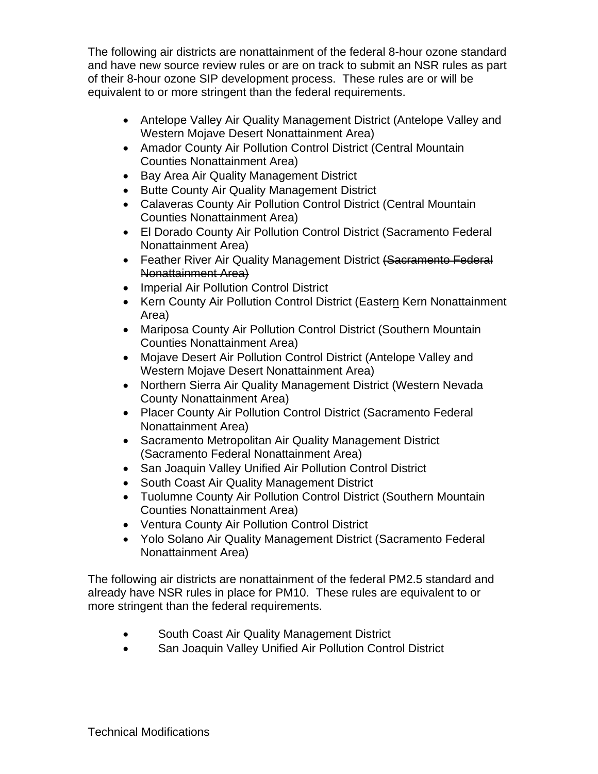The following air districts are nonattainment of the federal 8-hour ozone standard and have new source review rules or are on track to submit an NSR rules as part of their 8-hour ozone SIP development process. These rules are or will be equivalent to or more stringent than the federal requirements.

- Antelope Valley Air Quality Management District (Antelope Valley and Western Mojave Desert Nonattainment Area)
- Amador County Air Pollution Control District (Central Mountain Counties Nonattainment Area)
- Bay Area Air Quality Management District
- Butte County Air Quality Management District
- Calaveras County Air Pollution Control District (Central Mountain Counties Nonattainment Area)
- El Dorado County Air Pollution Control District (Sacramento Federal Nonattainment Area)
- Feather River Air Quality Management District (Sacramento Federal Nonattainment Area)
- Imperial Air Pollution Control District
- Kern County Air Pollution Control District (Eastern Kern Nonattainment<br>Area)
- Mariposa County Air Pollution Control District (Southern Mountain Counties Nonattainment Area)
- Mojave Desert Air Pollution Control District (Antelope Valley and Western Mojave Desert Nonattainment Area)
- Northern Sierra Air Quality Management District (Western Nevada County Nonattainment Area)
- Placer County Air Pollution Control District (Sacramento Federal Nonattainment Area)
- Sacramento Metropolitan Air Quality Management District (Sacramento Federal Nonattainment Area)
- San Joaquin Valley Unified Air Pollution Control District
- South Coast Air Quality Management District
- Tuolumne County Air Pollution Control District (Southern Mountain Counties Nonattainment Area)
- Ventura County Air Pollution Control District
- Yolo Solano Air Quality Management District (Sacramento Federal Nonattainment Area)

The following air districts are nonattainment of the federal PM2.5 standard and already have NSR rules in place for PM10. These rules are equivalent to or more stringent than the federal requirements.

- South Coast Air Quality Management District
- San Joaquin Valley Unified Air Pollution Control District